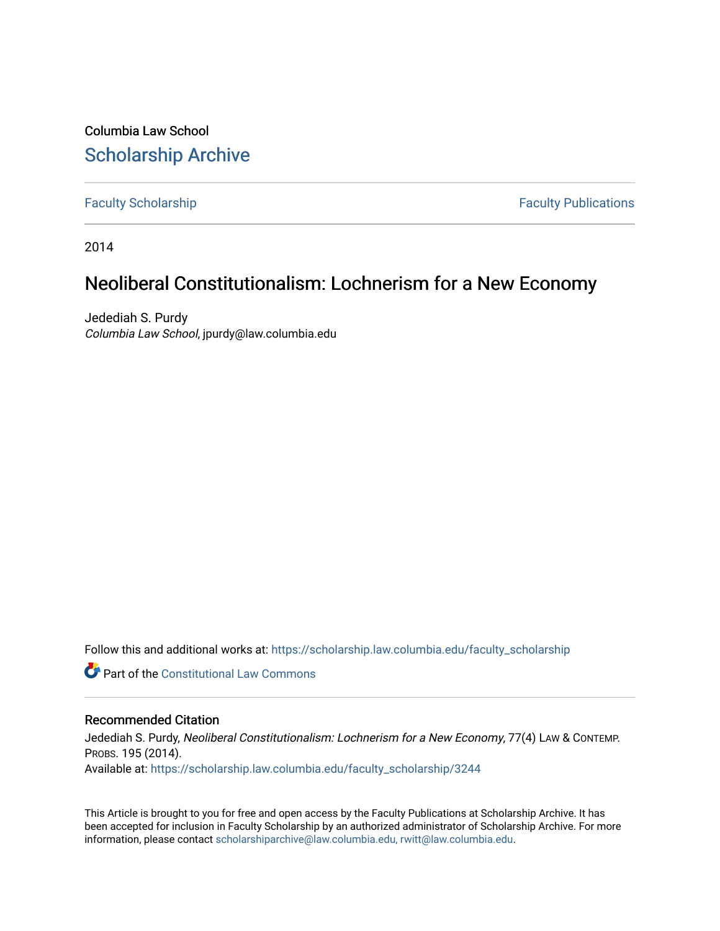Columbia Law School [Scholarship Archive](https://scholarship.law.columbia.edu/) 

[Faculty Scholarship](https://scholarship.law.columbia.edu/faculty_scholarship) **Faculty Publications** 

2014

## Neoliberal Constitutionalism: Lochnerism for a New Economy

Jedediah S. Purdy Columbia Law School, jpurdy@law.columbia.edu

Follow this and additional works at: [https://scholarship.law.columbia.edu/faculty\\_scholarship](https://scholarship.law.columbia.edu/faculty_scholarship?utm_source=scholarship.law.columbia.edu%2Ffaculty_scholarship%2F3244&utm_medium=PDF&utm_campaign=PDFCoverPages)

**C** Part of the Constitutional Law Commons

## Recommended Citation

Jedediah S. Purdy, Neoliberal Constitutionalism: Lochnerism for a New Economy, 77(4) LAW & CONTEMP. PROBS. 195 (2014). Available at: [https://scholarship.law.columbia.edu/faculty\\_scholarship/3244](https://scholarship.law.columbia.edu/faculty_scholarship/3244?utm_source=scholarship.law.columbia.edu%2Ffaculty_scholarship%2F3244&utm_medium=PDF&utm_campaign=PDFCoverPages)

This Article is brought to you for free and open access by the Faculty Publications at Scholarship Archive. It has been accepted for inclusion in Faculty Scholarship by an authorized administrator of Scholarship Archive. For more information, please contact [scholarshiparchive@law.columbia.edu, rwitt@law.columbia.edu](mailto:scholarshiparchive@law.columbia.edu,%20rwitt@law.columbia.edu).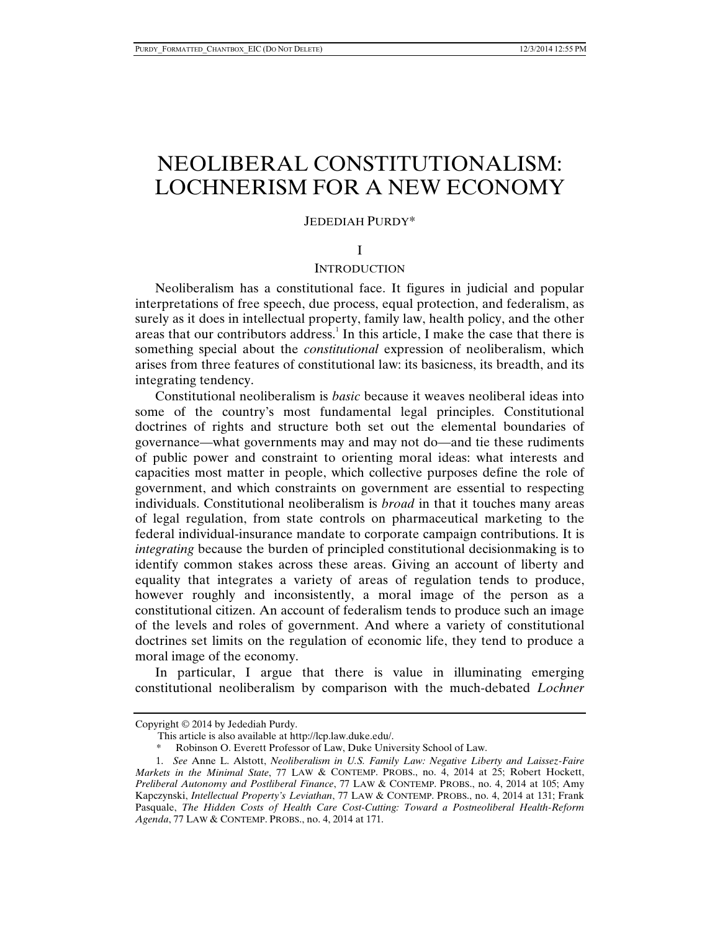# NEOLIBERAL CONSTITUTIONALISM: LOCHNERISM FOR A NEW ECONOMY

#### JEDEDIAH PURDY\*

#### I

## INTRODUCTION

Neoliberalism has a constitutional face. It figures in judicial and popular interpretations of free speech, due process, equal protection, and federalism, as surely as it does in intellectual property, family law, health policy, and the other areas that our contributors address.<sup>1</sup> In this article, I make the case that there is something special about the *constitutional* expression of neoliberalism, which arises from three features of constitutional law: its basicness, its breadth, and its integrating tendency.

Constitutional neoliberalism is *basic* because it weaves neoliberal ideas into some of the country's most fundamental legal principles. Constitutional doctrines of rights and structure both set out the elemental boundaries of governance—what governments may and may not do—and tie these rudiments of public power and constraint to orienting moral ideas: what interests and capacities most matter in people, which collective purposes define the role of government, and which constraints on government are essential to respecting individuals. Constitutional neoliberalism is *broad* in that it touches many areas of legal regulation, from state controls on pharmaceutical marketing to the federal individual-insurance mandate to corporate campaign contributions. It is *integrating* because the burden of principled constitutional decisionmaking is to identify common stakes across these areas. Giving an account of liberty and equality that integrates a variety of areas of regulation tends to produce, however roughly and inconsistently, a moral image of the person as a constitutional citizen. An account of federalism tends to produce such an image of the levels and roles of government. And where a variety of constitutional doctrines set limits on the regulation of economic life, they tend to produce a moral image of the economy.

In particular, I argue that there is value in illuminating emerging constitutional neoliberalism by comparison with the much-debated *Lochner*

Copyright © 2014 by Jedediah Purdy.

This article is also available at http://lcp.law.duke.edu/.

\* Robinson O. Everett Professor of Law, Duke University School of Law.

 <sup>1.</sup> *See* Anne L. Alstott, *Neoliberalism in U.S. Family Law: Negative Liberty and Laissez-Faire Markets in the Minimal State*, 77 LAW & CONTEMP. PROBS., no. 4, 2014 at 25; Robert Hockett, *Preliberal Autonomy and Postliberal Finance*, 77 LAW & CONTEMP. PROBS., no. 4, 2014 at 105; Amy Kapczynski, *Intellectual Property's Leviathan*, 77 LAW & CONTEMP. PROBS., no. 4, 2014 at 131; Frank Pasquale, *The Hidden Costs of Health Care Cost-Cutting: Toward a Postneoliberal Health-Reform Agenda*, 77 LAW & CONTEMP. PROBS., no. 4, 2014 at 171.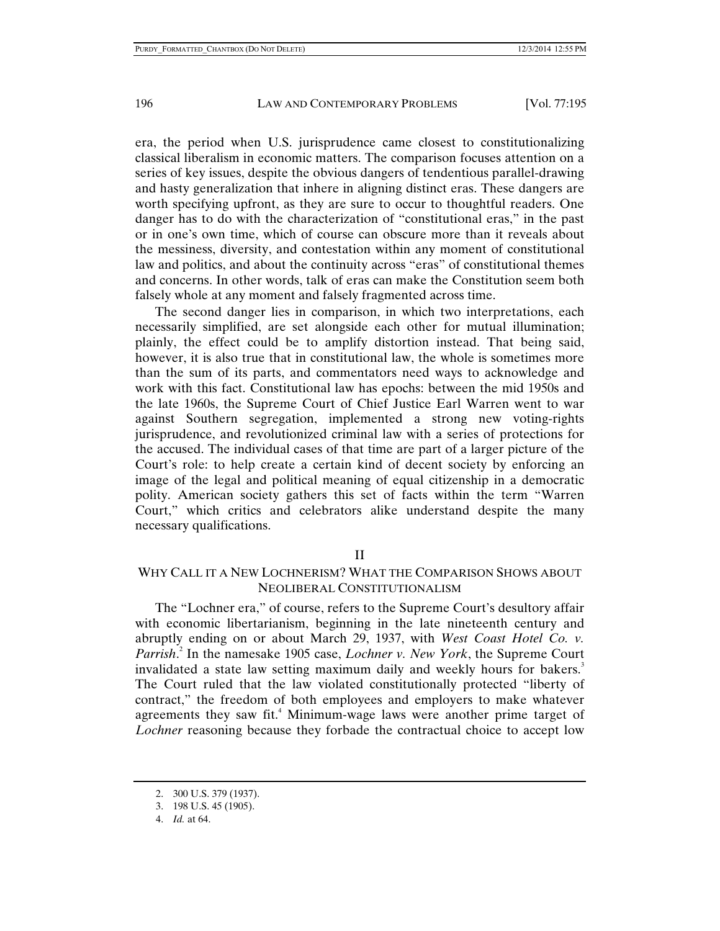era, the period when U.S. jurisprudence came closest to constitutionalizing classical liberalism in economic matters. The comparison focuses attention on a series of key issues, despite the obvious dangers of tendentious parallel-drawing and hasty generalization that inhere in aligning distinct eras. These dangers are worth specifying upfront, as they are sure to occur to thoughtful readers. One danger has to do with the characterization of "constitutional eras," in the past or in one's own time, which of course can obscure more than it reveals about the messiness, diversity, and contestation within any moment of constitutional law and politics, and about the continuity across "eras" of constitutional themes and concerns. In other words, talk of eras can make the Constitution seem both falsely whole at any moment and falsely fragmented across time.

The second danger lies in comparison, in which two interpretations, each necessarily simplified, are set alongside each other for mutual illumination; plainly, the effect could be to amplify distortion instead. That being said, however, it is also true that in constitutional law, the whole is sometimes more than the sum of its parts, and commentators need ways to acknowledge and work with this fact. Constitutional law has epochs: between the mid 1950s and the late 1960s, the Supreme Court of Chief Justice Earl Warren went to war against Southern segregation, implemented a strong new voting-rights jurisprudence, and revolutionized criminal law with a series of protections for the accused. The individual cases of that time are part of a larger picture of the Court's role: to help create a certain kind of decent society by enforcing an image of the legal and political meaning of equal citizenship in a democratic polity. American society gathers this set of facts within the term "Warren Court," which critics and celebrators alike understand despite the many necessary qualifications.

## II

## WHY CALL IT A NEW LOCHNERISM? WHAT THE COMPARISON SHOWS ABOUT NEOLIBERAL CONSTITUTIONALISM

The "Lochner era," of course, refers to the Supreme Court's desultory affair with economic libertarianism, beginning in the late nineteenth century and abruptly ending on or about March 29, 1937, with *West Coast Hotel Co. v. Parrish*. 2 In the namesake 1905 case, *Lochner v. New York*, the Supreme Court invalidated a state law setting maximum daily and weekly hours for bakers.<sup>3</sup> The Court ruled that the law violated constitutionally protected "liberty of contract," the freedom of both employees and employers to make whatever agreements they saw fit.<sup>4</sup> Minimum-wage laws were another prime target of *Lochner* reasoning because they forbade the contractual choice to accept low

 <sup>2. 300</sup> U.S. 379 (1937).

 <sup>3. 198</sup> U.S. 45 (1905).

 <sup>4.</sup> *Id.* at 64.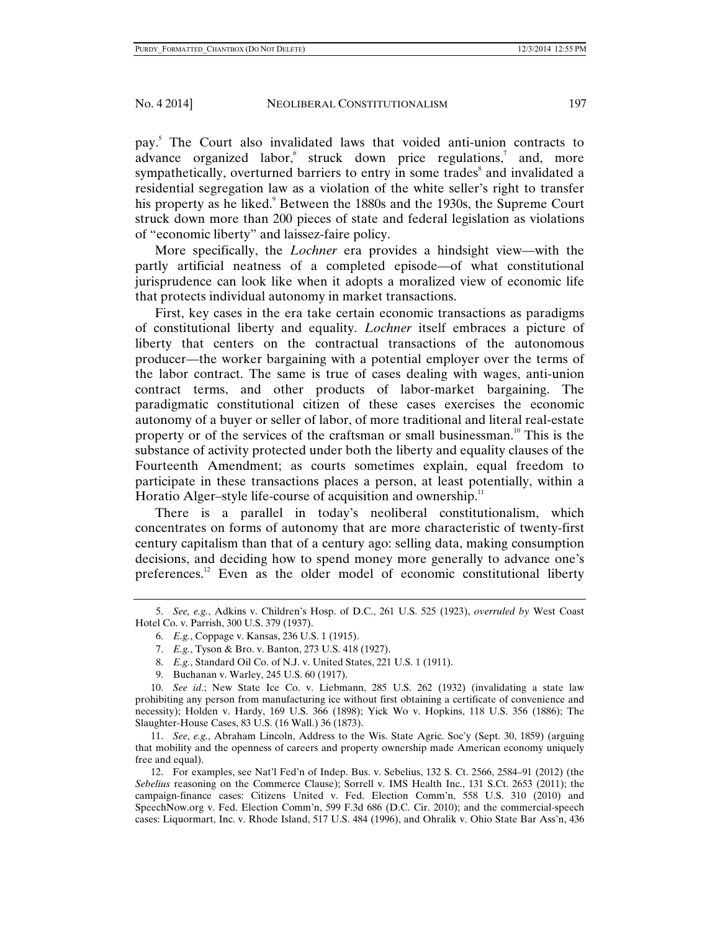pay.5 The Court also invalidated laws that voided anti-union contracts to advance organized labor, struck down price regulations,<sup>7</sup> and, more sympathetically, overturned barriers to entry in some trades<sup>8</sup> and invalidated a residential segregation law as a violation of the white seller's right to transfer his property as he liked.<sup>9</sup> Between the 1880s and the 1930s, the Supreme Court struck down more than 200 pieces of state and federal legislation as violations of "economic liberty" and laissez-faire policy.

More specifically, the *Lochner* era provides a hindsight view—with the partly artificial neatness of a completed episode—of what constitutional jurisprudence can look like when it adopts a moralized view of economic life that protects individual autonomy in market transactions.

First, key cases in the era take certain economic transactions as paradigms of constitutional liberty and equality. *Lochner* itself embraces a picture of liberty that centers on the contractual transactions of the autonomous producer—the worker bargaining with a potential employer over the terms of the labor contract. The same is true of cases dealing with wages, anti-union contract terms, and other products of labor-market bargaining. The paradigmatic constitutional citizen of these cases exercises the economic autonomy of a buyer or seller of labor, of more traditional and literal real-estate property or of the services of the craftsman or small businessman.<sup>10</sup> This is the substance of activity protected under both the liberty and equality clauses of the Fourteenth Amendment; as courts sometimes explain, equal freedom to participate in these transactions places a person, at least potentially, within a Horatio Alger–style life-course of acquisition and ownership. $11$ 

There is a parallel in today's neoliberal constitutionalism, which concentrates on forms of autonomy that are more characteristic of twenty-first century capitalism than that of a century ago: selling data, making consumption decisions, and deciding how to spend money more generally to advance one's preferences.<sup>12</sup> Even as the older model of economic constitutional liberty

9. Buchanan v. Warley, 245 U.S. 60 (1917).

 10. *See id.*; New State Ice Co. v. Liebmann, 285 U.S. 262 (1932) (invalidating a state law prohibiting any person from manufacturing ice without first obtaining a certificate of convenience and necessity); Holden v. Hardy, 169 U.S. 366 (1898); Yick Wo v. Hopkins, 118 U.S. 356 (1886); The Slaughter-House Cases, 83 U.S. (16 Wall.) 36 (1873).

 11. *See*, *e.g.*, Abraham Lincoln, Address to the Wis. State Agric. Soc'y (Sept. 30, 1859) (arguing that mobility and the openness of careers and property ownership made American economy uniquely free and equal).

 12. For examples, see Nat'l Fed'n of Indep. Bus. v. Sebelius, 132 S. Ct. 2566, 2584–91 (2012) (the *Sebelius* reasoning on the Commerce Clause); Sorrell v. IMS Health Inc., 131 S.Ct. 2653 (2011); the campaign-finance cases: Citizens United v. Fed. Election Comm'n, 558 U.S. 310 (2010) and SpeechNow.org v. Fed. Election Comm'n, 599 F.3d 686 (D.C. Cir. 2010); and the commercial-speech cases: Liquormart, Inc. v. Rhode Island, 517 U.S. 484 (1996), and Ohralik v. Ohio State Bar Ass'n, 436

 <sup>5.</sup> *See, e.g.*, Adkins v. Children's Hosp. of D.C., 261 U.S. 525 (1923), *overruled by* West Coast Hotel Co. v. Parrish, 300 U.S. 379 (1937).

 <sup>6.</sup> *E.g.*, Coppage v. Kansas, 236 U.S. 1 (1915).

 <sup>7.</sup> *E.g.*, Tyson & Bro. v. Banton, 273 U.S. 418 (1927).

 <sup>8.</sup> *E.g.*, Standard Oil Co. of N.J. v. United States, 221 U.S. 1 (1911).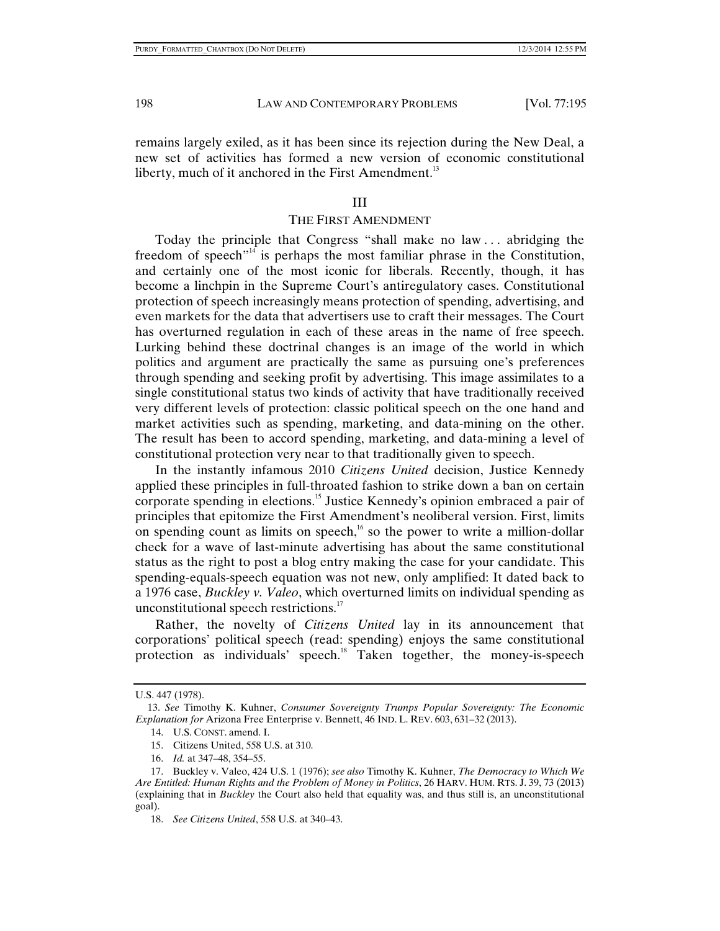remains largely exiled, as it has been since its rejection during the New Deal, a new set of activities has formed a new version of economic constitutional liberty, much of it anchored in the First Amendment.<sup>13</sup>

#### III

#### THE FIRST AMENDMENT

Today the principle that Congress "shall make no law . . . abridging the freedom of speech $n<sup>14</sup>$  is perhaps the most familiar phrase in the Constitution, and certainly one of the most iconic for liberals. Recently, though, it has become a linchpin in the Supreme Court's antiregulatory cases. Constitutional protection of speech increasingly means protection of spending, advertising, and even markets for the data that advertisers use to craft their messages. The Court has overturned regulation in each of these areas in the name of free speech. Lurking behind these doctrinal changes is an image of the world in which politics and argument are practically the same as pursuing one's preferences through spending and seeking profit by advertising. This image assimilates to a single constitutional status two kinds of activity that have traditionally received very different levels of protection: classic political speech on the one hand and market activities such as spending, marketing, and data-mining on the other. The result has been to accord spending, marketing, and data-mining a level of constitutional protection very near to that traditionally given to speech.

In the instantly infamous 2010 *Citizens United* decision, Justice Kennedy applied these principles in full-throated fashion to strike down a ban on certain corporate spending in elections.<sup>15</sup> Justice Kennedy's opinion embraced a pair of principles that epitomize the First Amendment's neoliberal version. First, limits on spending count as limits on speech, $16$  so the power to write a million-dollar check for a wave of last-minute advertising has about the same constitutional status as the right to post a blog entry making the case for your candidate. This spending-equals-speech equation was not new, only amplified: It dated back to a 1976 case, *Buckley v. Valeo*, which overturned limits on individual spending as unconstitutional speech restrictions.<sup>17</sup>

Rather, the novelty of *Citizens United* lay in its announcement that corporations' political speech (read: spending) enjoys the same constitutional protection as individuals' speech.<sup>18</sup> Taken together, the money-is-speech

U.S. 447 (1978).

 <sup>13.</sup> *See* Timothy K. Kuhner, *Consumer Sovereignty Trumps Popular Sovereignty: The Economic Explanation for* Arizona Free Enterprise v. Bennett, 46 IND. L. REV. 603, 631–32 (2013).

 <sup>14.</sup> U.S. CONST. amend. I.

 <sup>15.</sup> Citizens United, 558 U.S. at 310.

 <sup>16.</sup> *Id.* at 347–48, 354–55.

 <sup>17.</sup> Buckley v. Valeo, 424 U.S. 1 (1976); *see also* Timothy K. Kuhner, *The Democracy to Which We Are Entitled: Human Rights and the Problem of Money in Politics*, 26 HARV. HUM. RTS. J. 39, 73 (2013) (explaining that in *Buckley* the Court also held that equality was, and thus still is, an unconstitutional goal).

 <sup>18.</sup> *See Citizens United*, 558 U.S. at 340–43.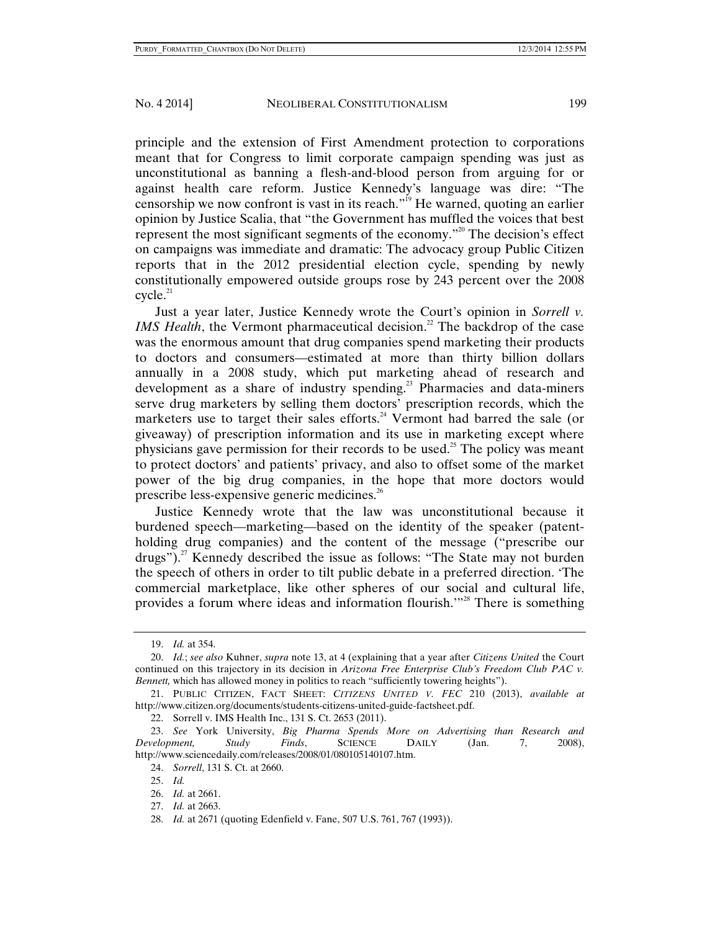principle and the extension of First Amendment protection to corporations meant that for Congress to limit corporate campaign spending was just as unconstitutional as banning a flesh-and-blood person from arguing for or against health care reform. Justice Kennedy's language was dire: "The censorship we now confront is vast in its reach.<sup> $19$ </sup> He warned, quoting an earlier opinion by Justice Scalia, that "the Government has muffled the voices that best represent the most significant segments of the economy."<sup>20</sup> The decision's effect on campaigns was immediate and dramatic: The advocacy group Public Citizen reports that in the 2012 presidential election cycle, spending by newly constitutionally empowered outside groups rose by 243 percent over the 2008  $cycle.<sup>21</sup>$ 

Just a year later, Justice Kennedy wrote the Court's opinion in *Sorrell v. IMS Health*, the Vermont pharmaceutical decision.<sup>22</sup> The backdrop of the case was the enormous amount that drug companies spend marketing their products to doctors and consumers—estimated at more than thirty billion dollars annually in a 2008 study, which put marketing ahead of research and development as a share of industry spending.<sup>23</sup> Pharmacies and data-miners serve drug marketers by selling them doctors' prescription records, which the marketers use to target their sales efforts.<sup>24</sup> Vermont had barred the sale (or giveaway) of prescription information and its use in marketing except where physicians gave permission for their records to be used.<sup>25</sup> The policy was meant to protect doctors' and patients' privacy, and also to offset some of the market power of the big drug companies, in the hope that more doctors would prescribe less-expensive generic medicines.<sup>26</sup>

Justice Kennedy wrote that the law was unconstitutional because it burdened speech—marketing—based on the identity of the speaker (patentholding drug companies) and the content of the message ("prescribe our drugs").<sup>27</sup> Kennedy described the issue as follows: "The State may not burden the speech of others in order to tilt public debate in a preferred direction. 'The commercial marketplace, like other spheres of our social and cultural life, provides a forum where ideas and information flourish.<sup>'"28</sup> There is something

28. *Id.* at 2671 (quoting Edenfield v. Fane, 507 U.S. 761, 767 (1993)).

 <sup>19.</sup> *Id.* at 354.

 <sup>20.</sup> *Id.*; *see also* Kuhner, *supra* note 13, at 4 (explaining that a year after *Citizens United* the Court continued on this trajectory in its decision in *Arizona Free Enterprise Club's Freedom Club PAC v. Bennett,* which has allowed money in politics to reach "sufficiently towering heights").

 <sup>21.</sup> PUBLIC CITIZEN, FACT SHEET: *CITIZENS UNITED V. FEC* 210 (2013), *available at* http://www.citizen.org/documents/students-citizens-united-guide-factsheet.pdf.

 <sup>22.</sup> Sorrell v. IMS Health Inc., 131 S. Ct. 2653 (2011).

 <sup>23.</sup> *See* York University, *Big Pharma Spends More on Advertising than Research and Development, Study Finds*, SCIENCE DAILY (Jan. 7, 2008), http://www.sciencedaily.com/releases/2008/01/080105140107.htm.

 <sup>24.</sup> *Sorrell*, 131 S. Ct. at 2660.

 <sup>25.</sup> *Id.*

 <sup>26.</sup> *Id.* at 2661.

 <sup>27.</sup> *Id.* at 2663.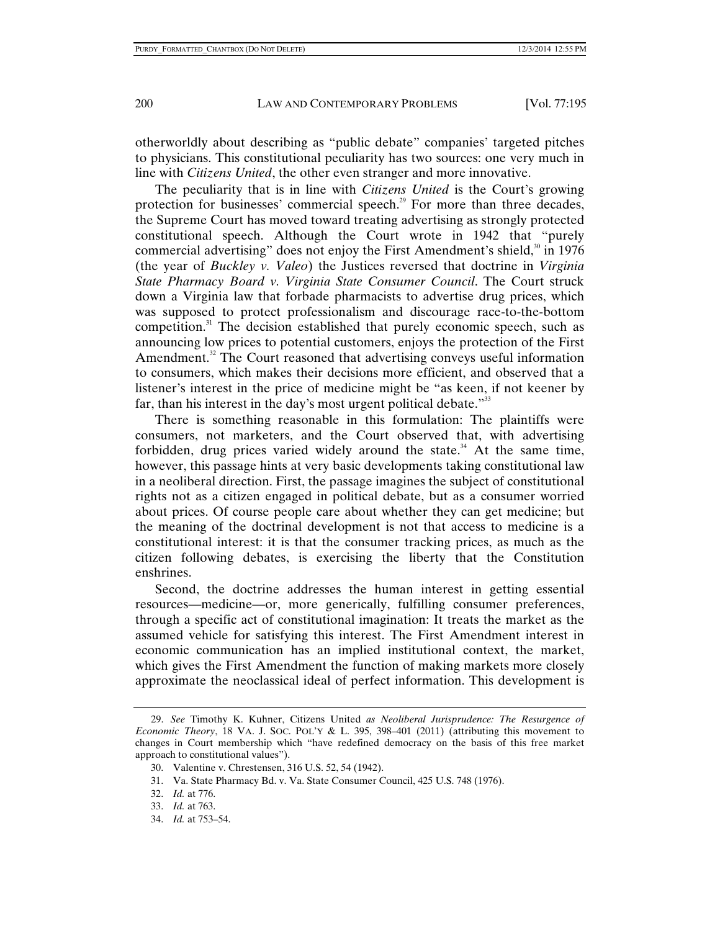otherworldly about describing as "public debate" companies' targeted pitches to physicians. This constitutional peculiarity has two sources: one very much in line with *Citizens United*, the other even stranger and more innovative.

The peculiarity that is in line with *Citizens United* is the Court's growing protection for businesses' commercial speech.<sup>29</sup> For more than three decades, the Supreme Court has moved toward treating advertising as strongly protected constitutional speech. Although the Court wrote in 1942 that "purely commercial advertising" does not enjoy the First Amendment's shield, $30$  in 1976 (the year of *Buckley v. Valeo*) the Justices reversed that doctrine in *Virginia State Pharmacy Board v. Virginia State Consumer Council*. The Court struck down a Virginia law that forbade pharmacists to advertise drug prices, which was supposed to protect professionalism and discourage race-to-the-bottom competition. $31$  The decision established that purely economic speech, such as announcing low prices to potential customers, enjoys the protection of the First Amendment.<sup>32</sup> The Court reasoned that advertising conveys useful information to consumers, which makes their decisions more efficient, and observed that a listener's interest in the price of medicine might be "as keen, if not keener by far, than his interest in the day's most urgent political debate. $33$ 

There is something reasonable in this formulation: The plaintiffs were consumers, not marketers, and the Court observed that, with advertising forbidden, drug prices varied widely around the state.<sup>34</sup> At the same time, however, this passage hints at very basic developments taking constitutional law in a neoliberal direction. First, the passage imagines the subject of constitutional rights not as a citizen engaged in political debate, but as a consumer worried about prices. Of course people care about whether they can get medicine; but the meaning of the doctrinal development is not that access to medicine is a constitutional interest: it is that the consumer tracking prices, as much as the citizen following debates, is exercising the liberty that the Constitution enshrines.

Second, the doctrine addresses the human interest in getting essential resources—medicine—or, more generically, fulfilling consumer preferences, through a specific act of constitutional imagination: It treats the market as the assumed vehicle for satisfying this interest. The First Amendment interest in economic communication has an implied institutional context, the market, which gives the First Amendment the function of making markets more closely approximate the neoclassical ideal of perfect information. This development is

- 31. Va. State Pharmacy Bd. v. Va. State Consumer Council, 425 U.S. 748 (1976).
- 32. *Id.* at 776.
- 33. *Id.* at 763.
- 34. *Id.* at 753–54.

<sup>29.</sup> *See* Timothy K. Kuhner, Citizens United *as Neoliberal Jurisprudence: The Resurgence of Economic Theory*, 18 VA. J. SOC. POL'Y & L. 395, 398–401 (2011) (attributing this movement to changes in Court membership which "have redefined democracy on the basis of this free market approach to constitutional values").

 <sup>30.</sup> Valentine v. Chrestensen, 316 U.S. 52, 54 (1942).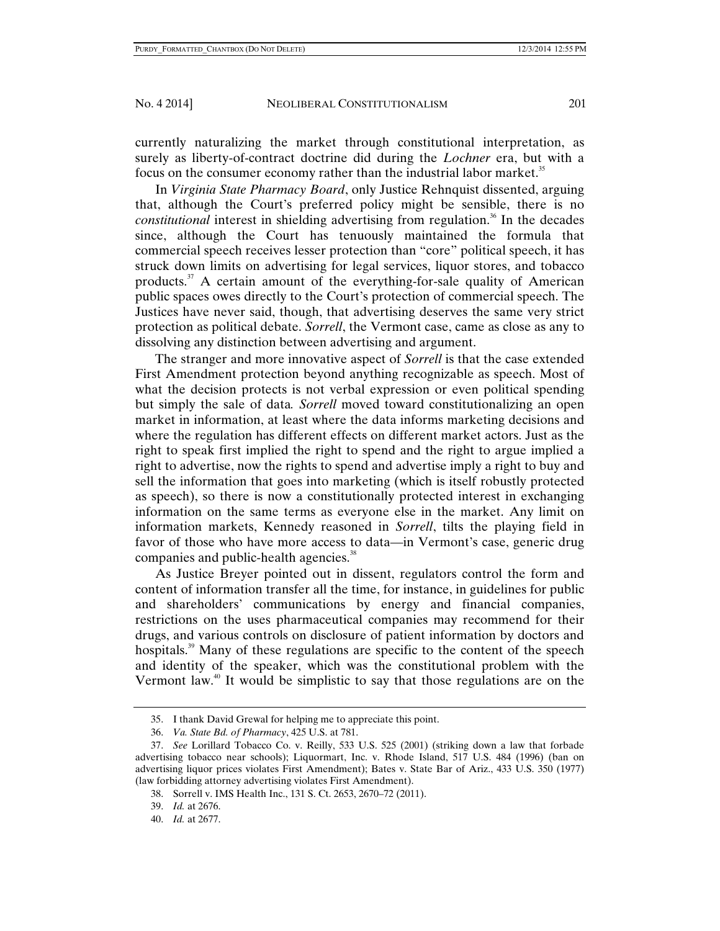currently naturalizing the market through constitutional interpretation, as surely as liberty-of-contract doctrine did during the *Lochner* era, but with a focus on the consumer economy rather than the industrial labor market.<sup>35</sup>

In *Virginia State Pharmacy Board*, only Justice Rehnquist dissented, arguing that, although the Court's preferred policy might be sensible, there is no *constitutional* interest in shielding advertising from regulation.<sup>36</sup> In the decades since, although the Court has tenuously maintained the formula that commercial speech receives lesser protection than "core" political speech, it has struck down limits on advertising for legal services, liquor stores, and tobacco products. $37$  A certain amount of the everything-for-sale quality of American public spaces owes directly to the Court's protection of commercial speech. The Justices have never said, though, that advertising deserves the same very strict protection as political debate. *Sorrell*, the Vermont case, came as close as any to dissolving any distinction between advertising and argument.

The stranger and more innovative aspect of *Sorrell* is that the case extended First Amendment protection beyond anything recognizable as speech. Most of what the decision protects is not verbal expression or even political spending but simply the sale of data*. Sorrell* moved toward constitutionalizing an open market in information, at least where the data informs marketing decisions and where the regulation has different effects on different market actors. Just as the right to speak first implied the right to spend and the right to argue implied a right to advertise, now the rights to spend and advertise imply a right to buy and sell the information that goes into marketing (which is itself robustly protected as speech), so there is now a constitutionally protected interest in exchanging information on the same terms as everyone else in the market. Any limit on information markets, Kennedy reasoned in *Sorrell*, tilts the playing field in favor of those who have more access to data—in Vermont's case, generic drug companies and public-health agencies.<sup>38</sup>

As Justice Breyer pointed out in dissent, regulators control the form and content of information transfer all the time, for instance, in guidelines for public and shareholders' communications by energy and financial companies, restrictions on the uses pharmaceutical companies may recommend for their drugs, and various controls on disclosure of patient information by doctors and hospitals.<sup>39</sup> Many of these regulations are specific to the content of the speech and identity of the speaker, which was the constitutional problem with the Vermont law.40 It would be simplistic to say that those regulations are on the

 <sup>35.</sup> I thank David Grewal for helping me to appreciate this point.

 <sup>36.</sup> *Va. State Bd. of Pharmacy*, 425 U.S. at 781.

 <sup>37.</sup> *See* Lorillard Tobacco Co. v. Reilly, 533 U.S. 525 (2001) (striking down a law that forbade advertising tobacco near schools); Liquormart, Inc. v. Rhode Island, 517 U.S. 484 (1996) (ban on advertising liquor prices violates First Amendment); Bates v. State Bar of Ariz., 433 U.S. 350 (1977) (law forbidding attorney advertising violates First Amendment).

 <sup>38.</sup> Sorrell v. IMS Health Inc., 131 S. Ct. 2653, 2670–72 (2011).

 <sup>39.</sup> *Id.* at 2676.

 <sup>40.</sup> *Id.* at 2677.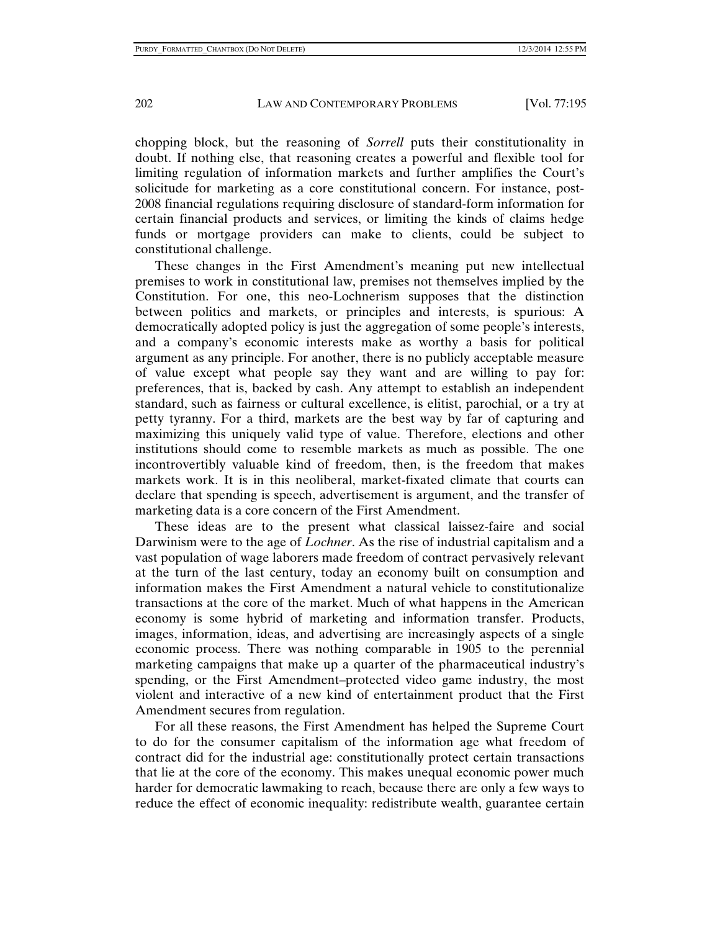chopping block, but the reasoning of *Sorrell* puts their constitutionality in doubt. If nothing else, that reasoning creates a powerful and flexible tool for limiting regulation of information markets and further amplifies the Court's solicitude for marketing as a core constitutional concern. For instance, post-2008 financial regulations requiring disclosure of standard-form information for certain financial products and services, or limiting the kinds of claims hedge funds or mortgage providers can make to clients, could be subject to constitutional challenge.

These changes in the First Amendment's meaning put new intellectual premises to work in constitutional law, premises not themselves implied by the Constitution. For one, this neo-Lochnerism supposes that the distinction between politics and markets, or principles and interests, is spurious: A democratically adopted policy is just the aggregation of some people's interests, and a company's economic interests make as worthy a basis for political argument as any principle. For another, there is no publicly acceptable measure of value except what people say they want and are willing to pay for: preferences, that is, backed by cash. Any attempt to establish an independent standard, such as fairness or cultural excellence, is elitist, parochial, or a try at petty tyranny. For a third, markets are the best way by far of capturing and maximizing this uniquely valid type of value. Therefore, elections and other institutions should come to resemble markets as much as possible. The one incontrovertibly valuable kind of freedom, then, is the freedom that makes markets work. It is in this neoliberal, market-fixated climate that courts can declare that spending is speech, advertisement is argument, and the transfer of marketing data is a core concern of the First Amendment.

These ideas are to the present what classical laissez-faire and social Darwinism were to the age of *Lochner*. As the rise of industrial capitalism and a vast population of wage laborers made freedom of contract pervasively relevant at the turn of the last century, today an economy built on consumption and information makes the First Amendment a natural vehicle to constitutionalize transactions at the core of the market. Much of what happens in the American economy is some hybrid of marketing and information transfer. Products, images, information, ideas, and advertising are increasingly aspects of a single economic process. There was nothing comparable in 1905 to the perennial marketing campaigns that make up a quarter of the pharmaceutical industry's spending, or the First Amendment–protected video game industry, the most violent and interactive of a new kind of entertainment product that the First Amendment secures from regulation.

For all these reasons, the First Amendment has helped the Supreme Court to do for the consumer capitalism of the information age what freedom of contract did for the industrial age: constitutionally protect certain transactions that lie at the core of the economy. This makes unequal economic power much harder for democratic lawmaking to reach, because there are only a few ways to reduce the effect of economic inequality: redistribute wealth, guarantee certain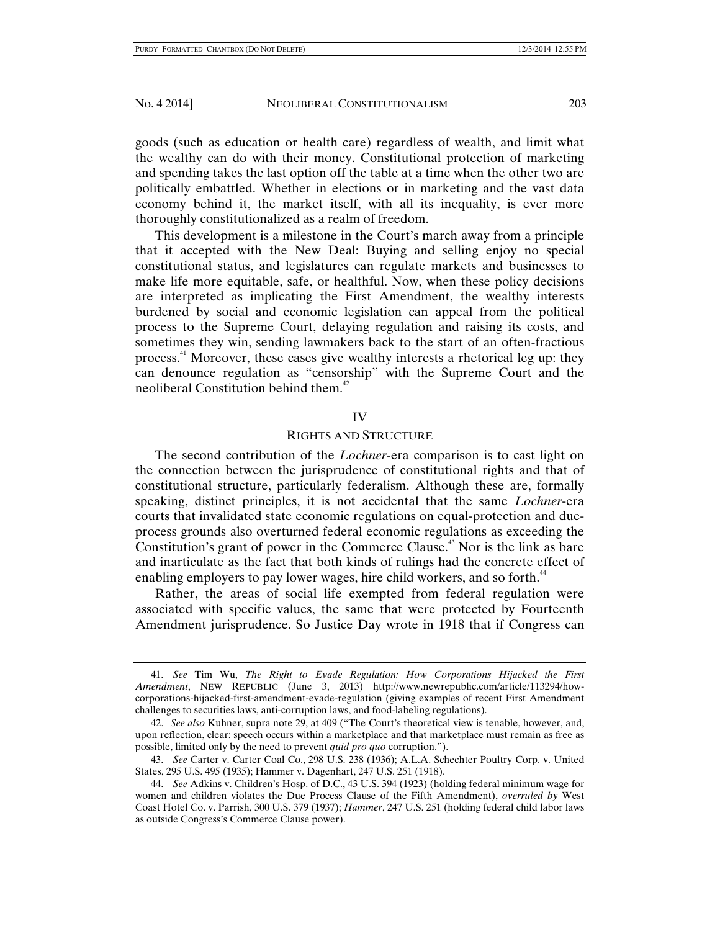goods (such as education or health care) regardless of wealth, and limit what the wealthy can do with their money. Constitutional protection of marketing and spending takes the last option off the table at a time when the other two are politically embattled. Whether in elections or in marketing and the vast data economy behind it, the market itself, with all its inequality, is ever more thoroughly constitutionalized as a realm of freedom.

This development is a milestone in the Court's march away from a principle that it accepted with the New Deal: Buying and selling enjoy no special constitutional status, and legislatures can regulate markets and businesses to make life more equitable, safe, or healthful. Now, when these policy decisions are interpreted as implicating the First Amendment, the wealthy interests burdened by social and economic legislation can appeal from the political process to the Supreme Court, delaying regulation and raising its costs, and sometimes they win, sending lawmakers back to the start of an often-fractious process.41 Moreover, these cases give wealthy interests a rhetorical leg up: they can denounce regulation as "censorship" with the Supreme Court and the neoliberal Constitution behind them. $42$ 

#### IV

#### RIGHTS AND STRUCTURE

The second contribution of the *Lochner*-era comparison is to cast light on the connection between the jurisprudence of constitutional rights and that of constitutional structure, particularly federalism. Although these are, formally speaking, distinct principles, it is not accidental that the same *Lochner*-era courts that invalidated state economic regulations on equal-protection and dueprocess grounds also overturned federal economic regulations as exceeding the Constitution's grant of power in the Commerce Clause.<sup>43</sup> Nor is the link as bare and inarticulate as the fact that both kinds of rulings had the concrete effect of enabling employers to pay lower wages, hire child workers, and so forth.<sup>44</sup>

Rather, the areas of social life exempted from federal regulation were associated with specific values, the same that were protected by Fourteenth Amendment jurisprudence. So Justice Day wrote in 1918 that if Congress can

 <sup>41.</sup> *See* Tim Wu, *The Right to Evade Regulation: How Corporations Hijacked the First Amendment*, NEW REPUBLIC (June 3, 2013) http://www.newrepublic.com/article/113294/howcorporations-hijacked-first-amendment-evade-regulation (giving examples of recent First Amendment challenges to securities laws, anti-corruption laws, and food-labeling regulations).

<sup>42.</sup> *See also* Kuhner, supra note 29, at 409 ("The Court's theoretical view is tenable, however, and, upon reflection, clear: speech occurs within a marketplace and that marketplace must remain as free as possible, limited only by the need to prevent *quid pro quo* corruption.").

 <sup>43.</sup> *See* Carter v. Carter Coal Co., 298 U.S. 238 (1936); A.L.A. Schechter Poultry Corp. v. United States, 295 U.S. 495 (1935); Hammer v. Dagenhart, 247 U.S. 251 (1918).

 <sup>44.</sup> *See* Adkins v. Children's Hosp. of D.C., 43 U.S. 394 (1923) (holding federal minimum wage for women and children violates the Due Process Clause of the Fifth Amendment), *overruled by* West Coast Hotel Co. v. Parrish, 300 U.S. 379 (1937); *Hammer*, 247 U.S. 251 (holding federal child labor laws as outside Congress's Commerce Clause power).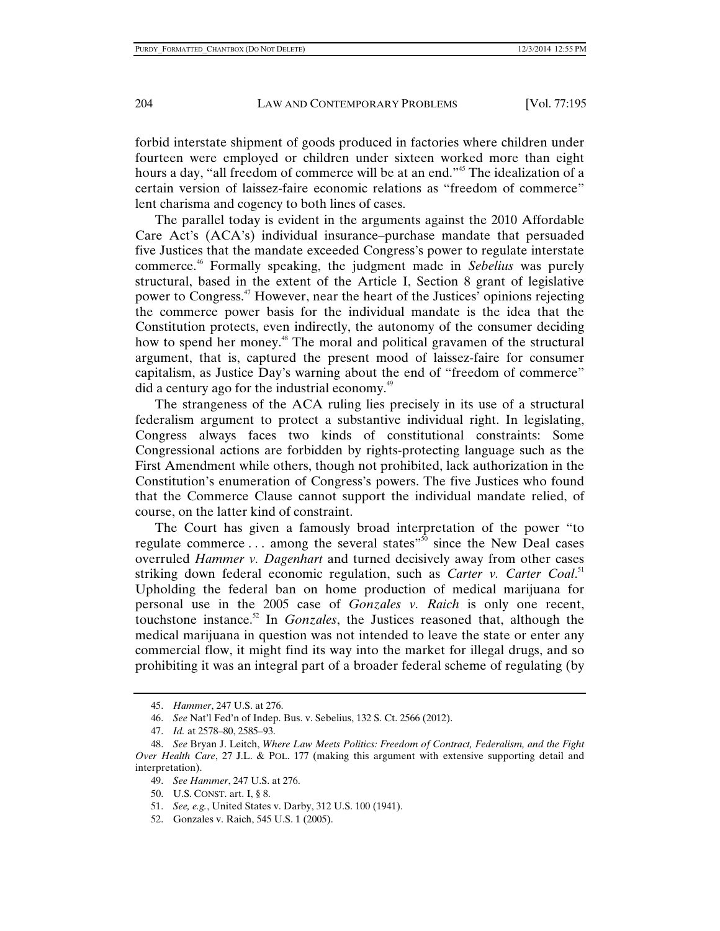forbid interstate shipment of goods produced in factories where children under fourteen were employed or children under sixteen worked more than eight hours a day, "all freedom of commerce will be at an end."<sup>45</sup> The idealization of a certain version of laissez-faire economic relations as "freedom of commerce" lent charisma and cogency to both lines of cases.

The parallel today is evident in the arguments against the 2010 Affordable Care Act's (ACA's) individual insurance–purchase mandate that persuaded five Justices that the mandate exceeded Congress's power to regulate interstate commerce.46 Formally speaking, the judgment made in *Sebelius* was purely structural, based in the extent of the Article I, Section 8 grant of legislative power to Congress.47 However, near the heart of the Justices' opinions rejecting the commerce power basis for the individual mandate is the idea that the Constitution protects, even indirectly, the autonomy of the consumer deciding how to spend her money.<sup>48</sup> The moral and political gravamen of the structural argument, that is, captured the present mood of laissez-faire for consumer capitalism, as Justice Day's warning about the end of "freedom of commerce" did a century ago for the industrial economy.<sup>49</sup>

The strangeness of the ACA ruling lies precisely in its use of a structural federalism argument to protect a substantive individual right. In legislating, Congress always faces two kinds of constitutional constraints: Some Congressional actions are forbidden by rights-protecting language such as the First Amendment while others, though not prohibited, lack authorization in the Constitution's enumeration of Congress's powers. The five Justices who found that the Commerce Clause cannot support the individual mandate relied, of course, on the latter kind of constraint.

The Court has given a famously broad interpretation of the power "to regulate commerce ... among the several states"<sup>50</sup> since the New Deal cases overruled *Hammer v. Dagenhart* and turned decisively away from other cases striking down federal economic regulation, such as *Carter v. Carter Coal.*<sup>51</sup> Upholding the federal ban on home production of medical marijuana for personal use in the 2005 case of *Gonzales v. Raich* is only one recent, touchstone instance.<sup>52</sup> In *Gonzales*, the Justices reasoned that, although the medical marijuana in question was not intended to leave the state or enter any commercial flow, it might find its way into the market for illegal drugs, and so prohibiting it was an integral part of a broader federal scheme of regulating (by

52. Gonzales v. Raich, 545 U.S. 1 (2005).

 <sup>45.</sup> *Hammer*, 247 U.S. at 276.

 <sup>46.</sup> *See* Nat'l Fed'n of Indep. Bus. v. Sebelius, 132 S. Ct. 2566 (2012).

 <sup>47.</sup> *Id.* at 2578–80, 2585–93.

 <sup>48.</sup> *See* Bryan J. Leitch, *Where Law Meets Politics: Freedom of Contract, Federalism, and the Fight Over Health Care*, 27 J.L. & POL. 177 (making this argument with extensive supporting detail and interpretation).

 <sup>49.</sup> *See Hammer*, 247 U.S. at 276.

 <sup>50.</sup> U.S. CONST. art. I, § 8.

 <sup>51.</sup> *See, e.g.*, United States v. Darby, 312 U.S. 100 (1941).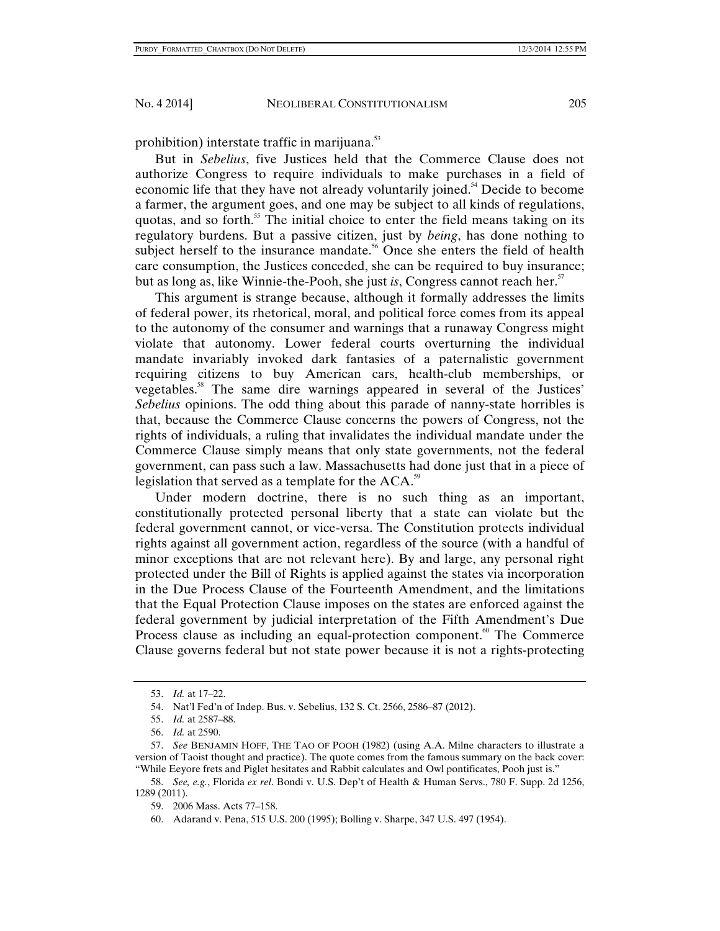prohibition) interstate traffic in marijuana.<sup>53</sup>

But in *Sebelius*, five Justices held that the Commerce Clause does not authorize Congress to require individuals to make purchases in a field of economic life that they have not already voluntarily joined.<sup>54</sup> Decide to become a farmer, the argument goes, and one may be subject to all kinds of regulations, quotas, and so forth.<sup>55</sup> The initial choice to enter the field means taking on its regulatory burdens. But a passive citizen, just by *being*, has done nothing to subject herself to the insurance mandate.<sup>56</sup> Once she enters the field of health care consumption, the Justices conceded, she can be required to buy insurance; but as long as, like Winnie-the-Pooh, she just *is*, Congress cannot reach her. $5<sup>7</sup>$ 

This argument is strange because, although it formally addresses the limits of federal power, its rhetorical, moral, and political force comes from its appeal to the autonomy of the consumer and warnings that a runaway Congress might violate that autonomy. Lower federal courts overturning the individual mandate invariably invoked dark fantasies of a paternalistic government requiring citizens to buy American cars, health-club memberships, or vegetables.58 The same dire warnings appeared in several of the Justices' *Sebelius* opinions. The odd thing about this parade of nanny-state horribles is that, because the Commerce Clause concerns the powers of Congress, not the rights of individuals, a ruling that invalidates the individual mandate under the Commerce Clause simply means that only state governments, not the federal government, can pass such a law. Massachusetts had done just that in a piece of legislation that served as a template for the  $ACA$ .<sup>59</sup>

Under modern doctrine, there is no such thing as an important, constitutionally protected personal liberty that a state can violate but the federal government cannot, or vice-versa. The Constitution protects individual rights against all government action, regardless of the source (with a handful of minor exceptions that are not relevant here). By and large, any personal right protected under the Bill of Rights is applied against the states via incorporation in the Due Process Clause of the Fourteenth Amendment, and the limitations that the Equal Protection Clause imposes on the states are enforced against the federal government by judicial interpretation of the Fifth Amendment's Due Process clause as including an equal-protection component.<sup>60</sup> The Commerce Clause governs federal but not state power because it is not a rights-protecting

 <sup>53.</sup> *Id.* at 17–22.

 <sup>54.</sup> Nat'l Fed'n of Indep. Bus. v. Sebelius, 132 S. Ct. 2566, 2586–87 (2012).

 <sup>55.</sup> *Id.* at 2587–88.

 <sup>56.</sup> *Id.* at 2590.

 <sup>57.</sup> *See* BENJAMIN HOFF, THE TAO OF POOH (1982) (using A.A. Milne characters to illustrate a version of Taoist thought and practice). The quote comes from the famous summary on the back cover: "While Eeyore frets and Piglet hesitates and Rabbit calculates and Owl pontificates, Pooh just is."

 <sup>58.</sup> *See, e.g.*, Florida *ex rel*. Bondi v. U.S. Dep't of Health & Human Servs., 780 F. Supp. 2d 1256, 1289 (2011).

 <sup>59. 2006</sup> Mass. Acts 77–158.

 <sup>60.</sup> Adarand v. Pena, 515 U.S. 200 (1995); Bolling v. Sharpe, 347 U.S. 497 (1954).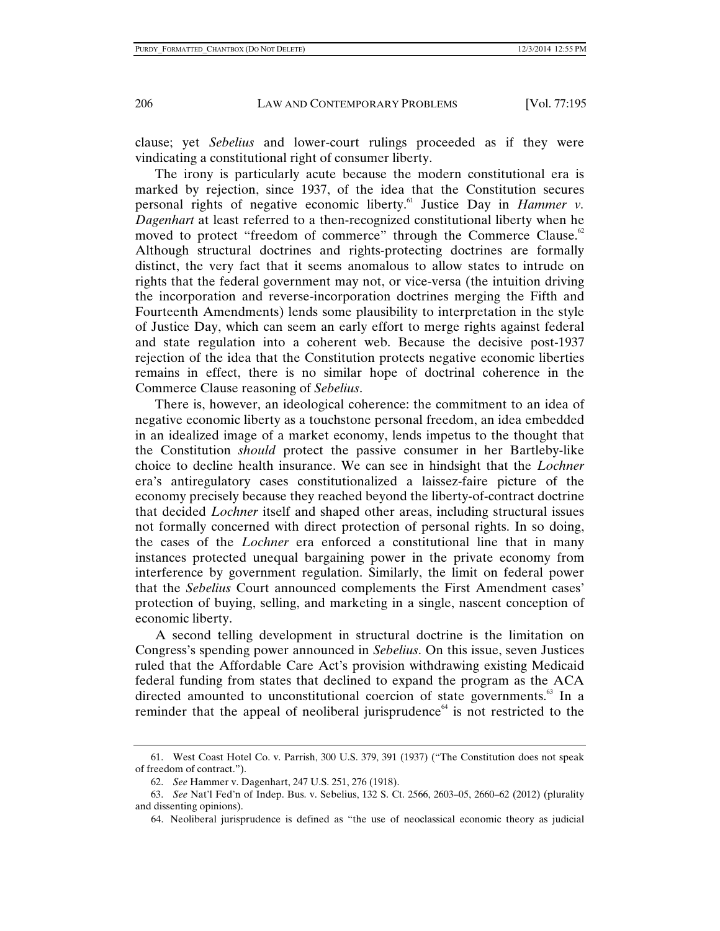clause; yet *Sebelius* and lower-court rulings proceeded as if they were vindicating a constitutional right of consumer liberty.

The irony is particularly acute because the modern constitutional era is marked by rejection, since 1937, of the idea that the Constitution secures personal rights of negative economic liberty.<sup>61</sup> Justice Day in *Hammer v. Dagenhart* at least referred to a then-recognized constitutional liberty when he moved to protect "freedom of commerce" through the Commerce Clause.<sup>62</sup> Although structural doctrines and rights-protecting doctrines are formally distinct, the very fact that it seems anomalous to allow states to intrude on rights that the federal government may not, or vice-versa (the intuition driving the incorporation and reverse-incorporation doctrines merging the Fifth and Fourteenth Amendments) lends some plausibility to interpretation in the style of Justice Day, which can seem an early effort to merge rights against federal and state regulation into a coherent web. Because the decisive post-1937 rejection of the idea that the Constitution protects negative economic liberties remains in effect, there is no similar hope of doctrinal coherence in the Commerce Clause reasoning of *Sebelius*.

There is, however, an ideological coherence: the commitment to an idea of negative economic liberty as a touchstone personal freedom, an idea embedded in an idealized image of a market economy, lends impetus to the thought that the Constitution *should* protect the passive consumer in her Bartleby-like choice to decline health insurance. We can see in hindsight that the *Lochner* era's antiregulatory cases constitutionalized a laissez-faire picture of the economy precisely because they reached beyond the liberty-of-contract doctrine that decided *Lochner* itself and shaped other areas, including structural issues not formally concerned with direct protection of personal rights. In so doing, the cases of the *Lochner* era enforced a constitutional line that in many instances protected unequal bargaining power in the private economy from interference by government regulation. Similarly, the limit on federal power that the *Sebelius* Court announced complements the First Amendment cases' protection of buying, selling, and marketing in a single, nascent conception of economic liberty.

A second telling development in structural doctrine is the limitation on Congress's spending power announced in *Sebelius*. On this issue, seven Justices ruled that the Affordable Care Act's provision withdrawing existing Medicaid federal funding from states that declined to expand the program as the ACA directed amounted to unconstitutional coercion of state governments.<sup>63</sup> In a reminder that the appeal of neoliberal jurisprudence $^{64}$  is not restricted to the

64. Neoliberal jurisprudence is defined as "the use of neoclassical economic theory as judicial

 <sup>61.</sup> West Coast Hotel Co. v. Parrish, 300 U.S. 379, 391 (1937) ("The Constitution does not speak of freedom of contract.").

 <sup>62.</sup> *See* Hammer v. Dagenhart, 247 U.S. 251, 276 (1918).

 <sup>63.</sup> *See* Nat'l Fed'n of Indep. Bus. v. Sebelius, 132 S. Ct. 2566, 2603–05, 2660–62 (2012) (plurality and dissenting opinions).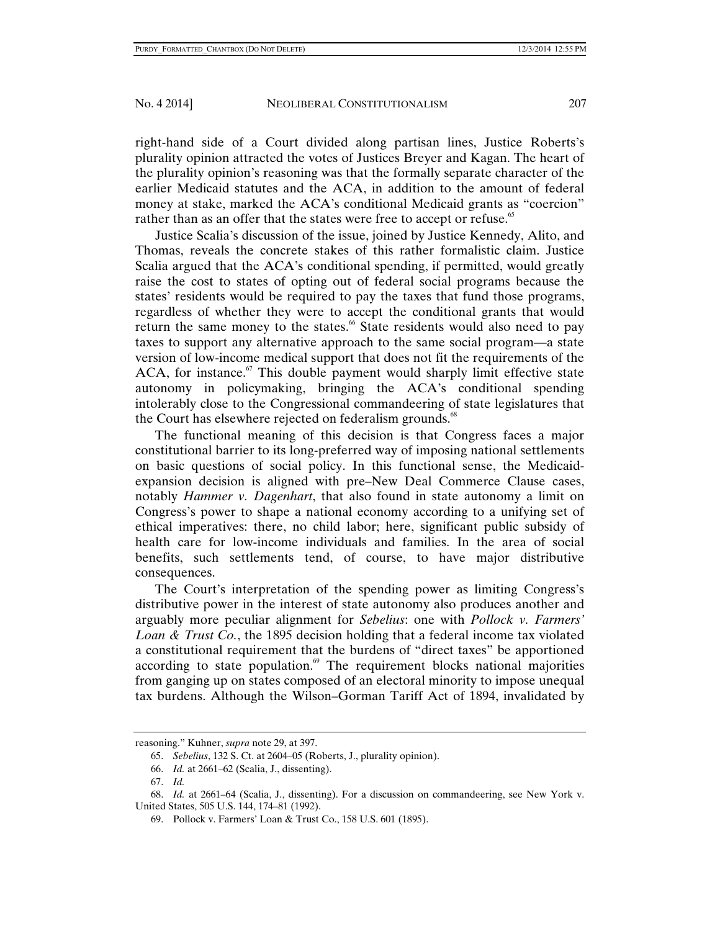right-hand side of a Court divided along partisan lines, Justice Roberts's plurality opinion attracted the votes of Justices Breyer and Kagan. The heart of the plurality opinion's reasoning was that the formally separate character of the earlier Medicaid statutes and the ACA, in addition to the amount of federal money at stake, marked the ACA's conditional Medicaid grants as "coercion" rather than as an offer that the states were free to accept or refuse.<sup>65</sup>

Justice Scalia's discussion of the issue, joined by Justice Kennedy, Alito, and Thomas, reveals the concrete stakes of this rather formalistic claim. Justice Scalia argued that the ACA's conditional spending, if permitted, would greatly raise the cost to states of opting out of federal social programs because the states' residents would be required to pay the taxes that fund those programs, regardless of whether they were to accept the conditional grants that would return the same money to the states.<sup>66</sup> State residents would also need to pay taxes to support any alternative approach to the same social program—a state version of low-income medical support that does not fit the requirements of the  $ACA$ , for instance.<sup>67</sup> This double payment would sharply limit effective state autonomy in policymaking, bringing the ACA's conditional spending intolerably close to the Congressional commandeering of state legislatures that the Court has elsewhere rejected on federalism grounds. $68$ 

The functional meaning of this decision is that Congress faces a major constitutional barrier to its long-preferred way of imposing national settlements on basic questions of social policy. In this functional sense, the Medicaidexpansion decision is aligned with pre–New Deal Commerce Clause cases, notably *Hammer v. Dagenhart*, that also found in state autonomy a limit on Congress's power to shape a national economy according to a unifying set of ethical imperatives: there, no child labor; here, significant public subsidy of health care for low-income individuals and families. In the area of social benefits, such settlements tend, of course, to have major distributive consequences.

The Court's interpretation of the spending power as limiting Congress's distributive power in the interest of state autonomy also produces another and arguably more peculiar alignment for *Sebelius*: one with *Pollock v. Farmers' Loan & Trust Co.*, the 1895 decision holding that a federal income tax violated a constitutional requirement that the burdens of "direct taxes" be apportioned according to state population. $\mathcal{F}$  The requirement blocks national majorities from ganging up on states composed of an electoral minority to impose unequal tax burdens. Although the Wilson–Gorman Tariff Act of 1894, invalidated by

reasoning." Kuhner, *supra* note 29, at 397.

 <sup>65.</sup> *Sebelius*, 132 S. Ct. at 2604–05 (Roberts, J., plurality opinion).

 <sup>66.</sup> *Id.* at 2661–62 (Scalia, J., dissenting).

 <sup>67.</sup> *Id.* 

 <sup>68.</sup> *Id.* at 2661–64 (Scalia, J., dissenting). For a discussion on commandeering, see New York v. United States, 505 U.S. 144, 174–81 (1992).

 <sup>69.</sup> Pollock v. Farmers' Loan & Trust Co., 158 U.S. 601 (1895).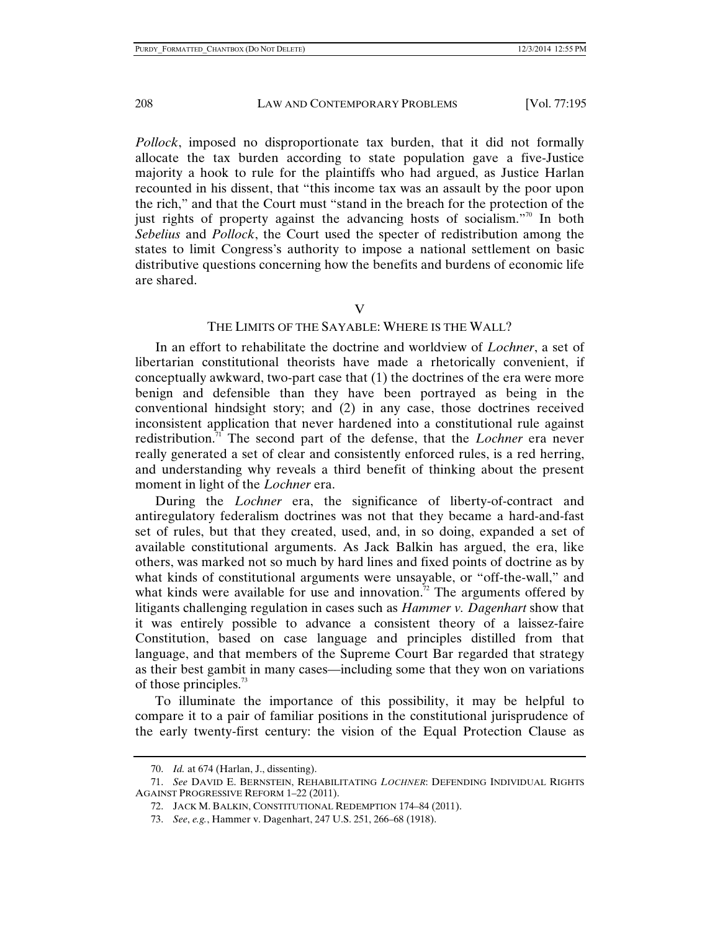*Pollock*, imposed no disproportionate tax burden, that it did not formally allocate the tax burden according to state population gave a five-Justice majority a hook to rule for the plaintiffs who had argued, as Justice Harlan recounted in his dissent, that "this income tax was an assault by the poor upon the rich," and that the Court must "stand in the breach for the protection of the just rights of property against the advancing hosts of socialism."<sup>70</sup> In both *Sebelius* and *Pollock*, the Court used the specter of redistribution among the states to limit Congress's authority to impose a national settlement on basic distributive questions concerning how the benefits and burdens of economic life are shared.

V

## THE LIMITS OF THE SAYABLE: WHERE IS THE WALL?

In an effort to rehabilitate the doctrine and worldview of *Lochner*, a set of libertarian constitutional theorists have made a rhetorically convenient, if conceptually awkward, two-part case that (1) the doctrines of the era were more benign and defensible than they have been portrayed as being in the conventional hindsight story; and (2) in any case, those doctrines received inconsistent application that never hardened into a constitutional rule against redistribution.<sup>71</sup> The second part of the defense, that the *Lochner* era never really generated a set of clear and consistently enforced rules, is a red herring, and understanding why reveals a third benefit of thinking about the present moment in light of the *Lochner* era.

During the *Lochner* era, the significance of liberty-of-contract and antiregulatory federalism doctrines was not that they became a hard-and-fast set of rules, but that they created, used, and, in so doing, expanded a set of available constitutional arguments. As Jack Balkin has argued, the era, like others, was marked not so much by hard lines and fixed points of doctrine as by what kinds of constitutional arguments were unsayable, or "off-the-wall," and what kinds were available for use and innovation.<sup>72</sup> The arguments offered by litigants challenging regulation in cases such as *Hammer v. Dagenhart* show that it was entirely possible to advance a consistent theory of a laissez-faire Constitution, based on case language and principles distilled from that language, and that members of the Supreme Court Bar regarded that strategy as their best gambit in many cases—including some that they won on variations of those principles. $^{73}$ 

To illuminate the importance of this possibility, it may be helpful to compare it to a pair of familiar positions in the constitutional jurisprudence of the early twenty-first century: the vision of the Equal Protection Clause as

 <sup>70.</sup> *Id.* at 674 (Harlan, J., dissenting).

 <sup>71.</sup> *See* DAVID E. BERNSTEIN, REHABILITATING *LOCHNER*: DEFENDING INDIVIDUAL RIGHTS AGAINST PROGRESSIVE REFORM 1–22 (2011).

 <sup>72.</sup> JACK M. BALKIN, CONSTITUTIONAL REDEMPTION 174–84 (2011).

 <sup>73.</sup> *See*, *e.g.*, Hammer v. Dagenhart, 247 U.S. 251, 266–68 (1918).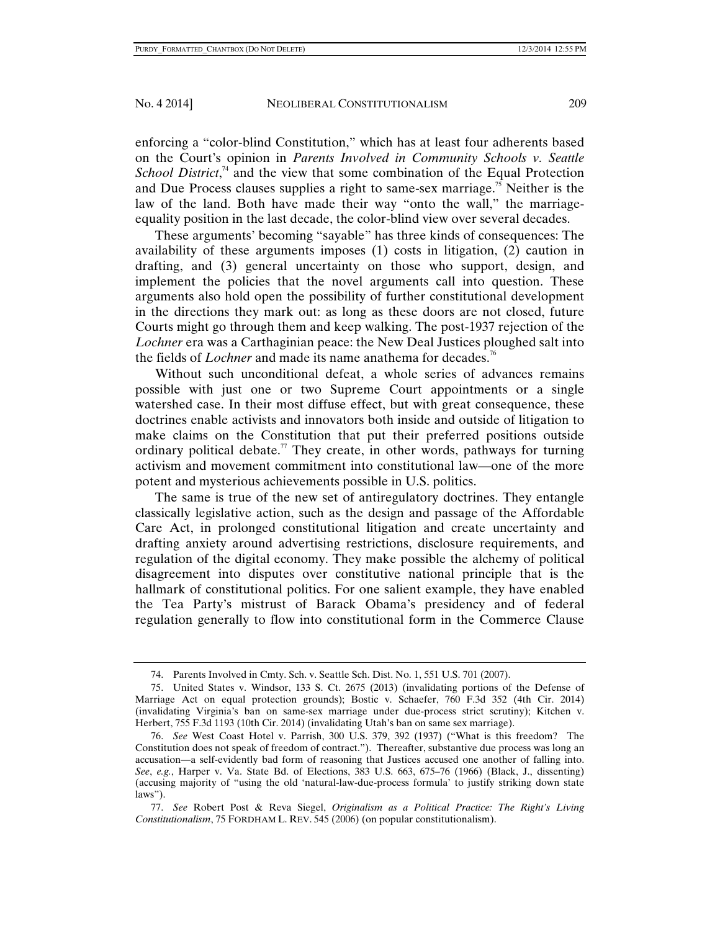enforcing a "color-blind Constitution," which has at least four adherents based on the Court's opinion in *Parents Involved in Community Schools v. Seattle School District*,<sup>74</sup> and the view that some combination of the Equal Protection and Due Process clauses supplies a right to same-sex marriage.<sup>75</sup> Neither is the law of the land. Both have made their way "onto the wall," the marriageequality position in the last decade, the color-blind view over several decades.

These arguments' becoming "sayable" has three kinds of consequences: The availability of these arguments imposes (1) costs in litigation, (2) caution in drafting, and (3) general uncertainty on those who support, design, and implement the policies that the novel arguments call into question. These arguments also hold open the possibility of further constitutional development in the directions they mark out: as long as these doors are not closed, future Courts might go through them and keep walking. The post-1937 rejection of the *Lochner* era was a Carthaginian peace: the New Deal Justices ploughed salt into the fields of *Lochner* and made its name anathema for decades.<sup>76</sup>

Without such unconditional defeat, a whole series of advances remains possible with just one or two Supreme Court appointments or a single watershed case. In their most diffuse effect, but with great consequence, these doctrines enable activists and innovators both inside and outside of litigation to make claims on the Constitution that put their preferred positions outside ordinary political debate.<sup>77</sup> They create, in other words, pathways for turning activism and movement commitment into constitutional law—one of the more potent and mysterious achievements possible in U.S. politics.

The same is true of the new set of antiregulatory doctrines. They entangle classically legislative action, such as the design and passage of the Affordable Care Act, in prolonged constitutional litigation and create uncertainty and drafting anxiety around advertising restrictions, disclosure requirements, and regulation of the digital economy. They make possible the alchemy of political disagreement into disputes over constitutive national principle that is the hallmark of constitutional politics. For one salient example, they have enabled the Tea Party's mistrust of Barack Obama's presidency and of federal regulation generally to flow into constitutional form in the Commerce Clause

 <sup>74.</sup> Parents Involved in Cmty. Sch. v. Seattle Sch. Dist. No. 1, 551 U.S. 701 (2007).

 <sup>75.</sup> United States v. Windsor, 133 S. Ct. 2675 (2013) (invalidating portions of the Defense of Marriage Act on equal protection grounds); Bostic v. Schaefer, 760 F.3d 352 (4th Cir. 2014) (invalidating Virginia's ban on same-sex marriage under due-process strict scrutiny); Kitchen v. Herbert, 755 F.3d 1193 (10th Cir. 2014) (invalidating Utah's ban on same sex marriage).

 <sup>76.</sup> *See* West Coast Hotel v. Parrish, 300 U.S. 379, 392 (1937) ("What is this freedom? The Constitution does not speak of freedom of contract."). Thereafter, substantive due process was long an accusation—a self-evidently bad form of reasoning that Justices accused one another of falling into. *See*, *e.g.*, Harper v. Va. State Bd. of Elections, 383 U.S. 663, 675–76 (1966) (Black, J., dissenting) (accusing majority of "using the old 'natural-law-due-process formula' to justify striking down state laws").

 <sup>77.</sup> *See* Robert Post & Reva Siegel, *Originalism as a Political Practice: The Right's Living Constitutionalism*, 75 FORDHAM L. REV. 545 (2006) (on popular constitutionalism).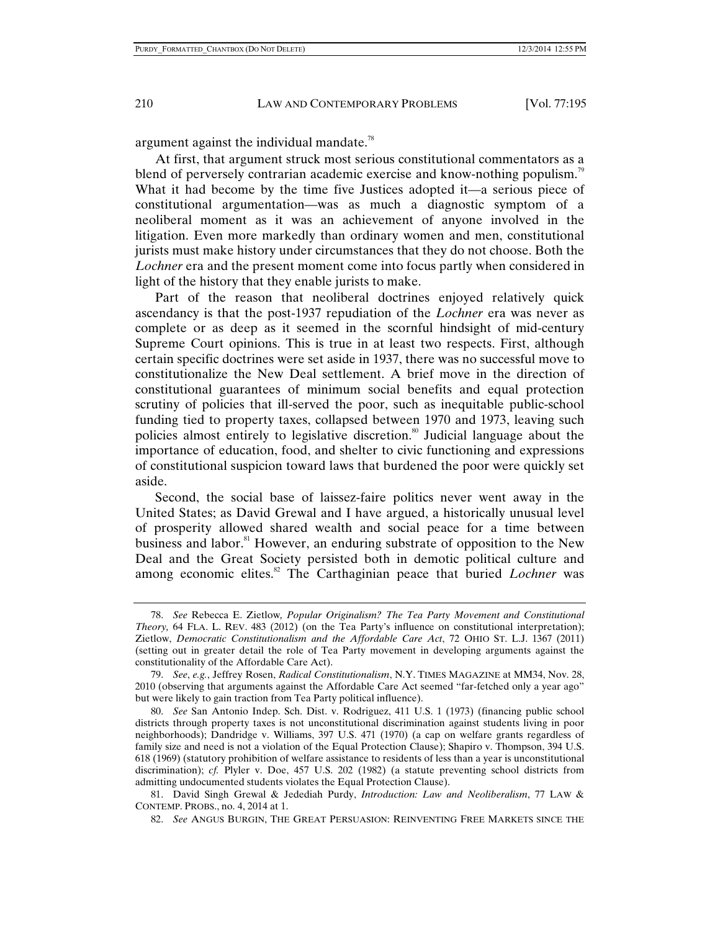argument against the individual mandate.<sup>78</sup>

At first, that argument struck most serious constitutional commentators as a blend of perversely contrarian academic exercise and know-nothing populism.<sup>79</sup> What it had become by the time five Justices adopted it—a serious piece of constitutional argumentation—was as much a diagnostic symptom of a neoliberal moment as it was an achievement of anyone involved in the litigation. Even more markedly than ordinary women and men, constitutional jurists must make history under circumstances that they do not choose. Both the *Lochner* era and the present moment come into focus partly when considered in light of the history that they enable jurists to make.

Part of the reason that neoliberal doctrines enjoyed relatively quick ascendancy is that the post-1937 repudiation of the *Lochner* era was never as complete or as deep as it seemed in the scornful hindsight of mid-century Supreme Court opinions. This is true in at least two respects. First, although certain specific doctrines were set aside in 1937, there was no successful move to constitutionalize the New Deal settlement. A brief move in the direction of constitutional guarantees of minimum social benefits and equal protection scrutiny of policies that ill-served the poor, such as inequitable public-school funding tied to property taxes, collapsed between 1970 and 1973, leaving such policies almost entirely to legislative discretion.<sup>80</sup> Judicial language about the importance of education, food, and shelter to civic functioning and expressions of constitutional suspicion toward laws that burdened the poor were quickly set aside.

Second, the social base of laissez-faire politics never went away in the United States; as David Grewal and I have argued, a historically unusual level of prosperity allowed shared wealth and social peace for a time between business and labor.<sup>81</sup> However, an enduring substrate of opposition to the New Deal and the Great Society persisted both in demotic political culture and among economic elites.<sup>82</sup> The Carthaginian peace that buried *Lochner* was

 <sup>78.</sup> *See* Rebecca E. Zietlow*, Popular Originalism? The Tea Party Movement and Constitutional Theory,* 64 FLA. L. REV. 483 (2012) (on the Tea Party's influence on constitutional interpretation); Zietlow, *Democratic Constitutionalism and the Affordable Care Act*, 72 OHIO ST. L.J. 1367 (2011) (setting out in greater detail the role of Tea Party movement in developing arguments against the constitutionality of the Affordable Care Act).

 <sup>79.</sup> *See*, *e.g.*, Jeffrey Rosen, *Radical Constitutionalism*, N.Y. TIMES MAGAZINE at MM34, Nov. 28, 2010 (observing that arguments against the Affordable Care Act seemed "far-fetched only a year ago" but were likely to gain traction from Tea Party political influence).

 <sup>80.</sup> *See* San Antonio Indep. Sch. Dist. v. Rodriguez, 411 U.S. 1 (1973) (financing public school districts through property taxes is not unconstitutional discrimination against students living in poor neighborhoods); Dandridge v. Williams, 397 U.S. 471 (1970) (a cap on welfare grants regardless of family size and need is not a violation of the Equal Protection Clause); Shapiro v. Thompson, 394 U.S. 618 (1969) (statutory prohibition of welfare assistance to residents of less than a year is unconstitutional discrimination); *cf.* Plyler v. Doe, 457 U.S. 202 (1982) (a statute preventing school districts from admitting undocumented students violates the Equal Protection Clause).

 <sup>81.</sup> David Singh Grewal & Jedediah Purdy, *Introduction: Law and Neoliberalism*, 77 LAW & CONTEMP. PROBS., no. 4, 2014 at 1.

 <sup>82.</sup> *See* ANGUS BURGIN, THE GREAT PERSUASION: REINVENTING FREE MARKETS SINCE THE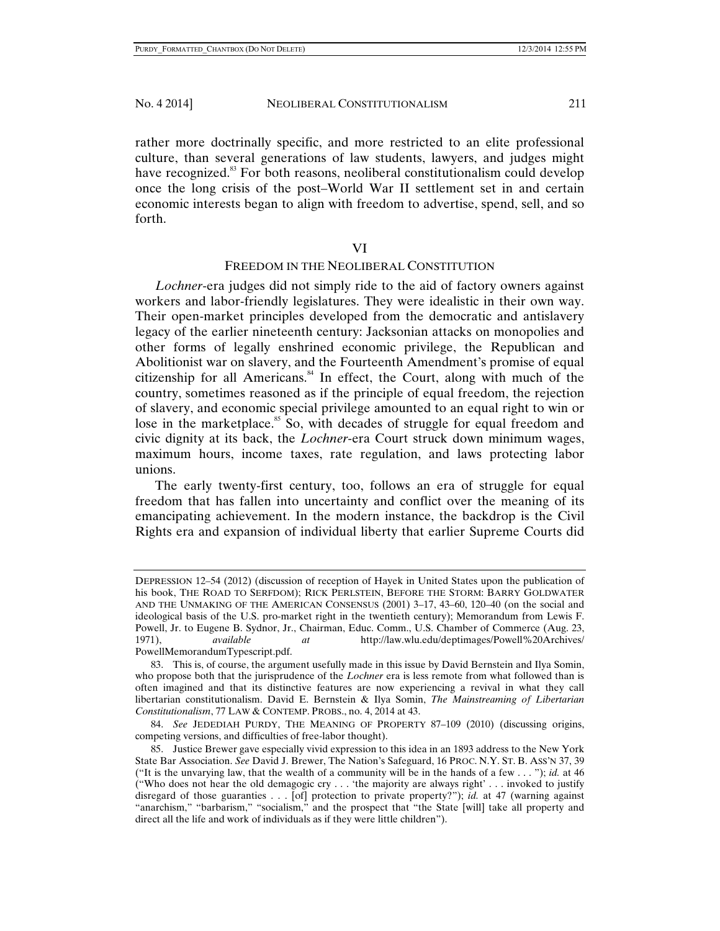rather more doctrinally specific, and more restricted to an elite professional culture, than several generations of law students, lawyers, and judges might have recognized.<sup>83</sup> For both reasons, neoliberal constitutionalism could develop once the long crisis of the post–World War II settlement set in and certain economic interests began to align with freedom to advertise, spend, sell, and so forth.

VI

## FREEDOM IN THE NEOLIBERAL CONSTITUTION

*Lochner*-era judges did not simply ride to the aid of factory owners against workers and labor-friendly legislatures. They were idealistic in their own way. Their open-market principles developed from the democratic and antislavery legacy of the earlier nineteenth century: Jacksonian attacks on monopolies and other forms of legally enshrined economic privilege, the Republican and Abolitionist war on slavery, and the Fourteenth Amendment's promise of equal citizenship for all Americans.<sup>84</sup> In effect, the Court, along with much of the country, sometimes reasoned as if the principle of equal freedom, the rejection of slavery, and economic special privilege amounted to an equal right to win or lose in the marketplace.<sup>85</sup> So, with decades of struggle for equal freedom and civic dignity at its back, the *Lochner*-era Court struck down minimum wages, maximum hours, income taxes, rate regulation, and laws protecting labor unions.

The early twenty-first century, too, follows an era of struggle for equal freedom that has fallen into uncertainty and conflict over the meaning of its emancipating achievement. In the modern instance, the backdrop is the Civil Rights era and expansion of individual liberty that earlier Supreme Courts did

DEPRESSION 12–54 (2012) (discussion of reception of Hayek in United States upon the publication of his book, THE ROAD TO SERFDOM); RICK PERLSTEIN, BEFORE THE STORM: BARRY GOLDWATER AND THE UNMAKING OF THE AMERICAN CONSENSUS (2001) 3–17, 43–60, 120–40 (on the social and ideological basis of the U.S. pro-market right in the twentieth century); Memorandum from Lewis F. Powell, Jr. to Eugene B. Sydnor, Jr., Chairman, Educ. Comm., U.S. Chamber of Commerce (Aug. 23, 1971), *available at* http://law.wlu.edu/deptimages/Powell%20Archives/ PowellMemorandumTypescript.pdf.

 <sup>83.</sup> This is, of course, the argument usefully made in this issue by David Bernstein and Ilya Somin, who propose both that the jurisprudence of the *Lochner* era is less remote from what followed than is often imagined and that its distinctive features are now experiencing a revival in what they call libertarian constitutionalism. David E. Bernstein & Ilya Somin, *The Mainstreaming of Libertarian Constitutionalism*, 77 LAW & CONTEMP. PROBS., no. 4, 2014 at 43.

 <sup>84.</sup> *See* JEDEDIAH PURDY, THE MEANING OF PROPERTY 87–109 (2010) (discussing origins, competing versions, and difficulties of free-labor thought).

 <sup>85.</sup> Justice Brewer gave especially vivid expression to this idea in an 1893 address to the New York State Bar Association. *See* David J. Brewer, The Nation's Safeguard, 16 PROC. N.Y. ST. B. ASS'N 37, 39 ("It is the unvarying law, that the wealth of a community will be in the hands of a few . . . "); *id.* at 46 ("Who does not hear the old demagogic cry . . . 'the majority are always right' . . . invoked to justify disregard of those guaranties . . . [of] protection to private property?"); *id.* at 47 (warning against "anarchism," "barbarism," "socialism," and the prospect that "the State [will] take all property and direct all the life and work of individuals as if they were little children").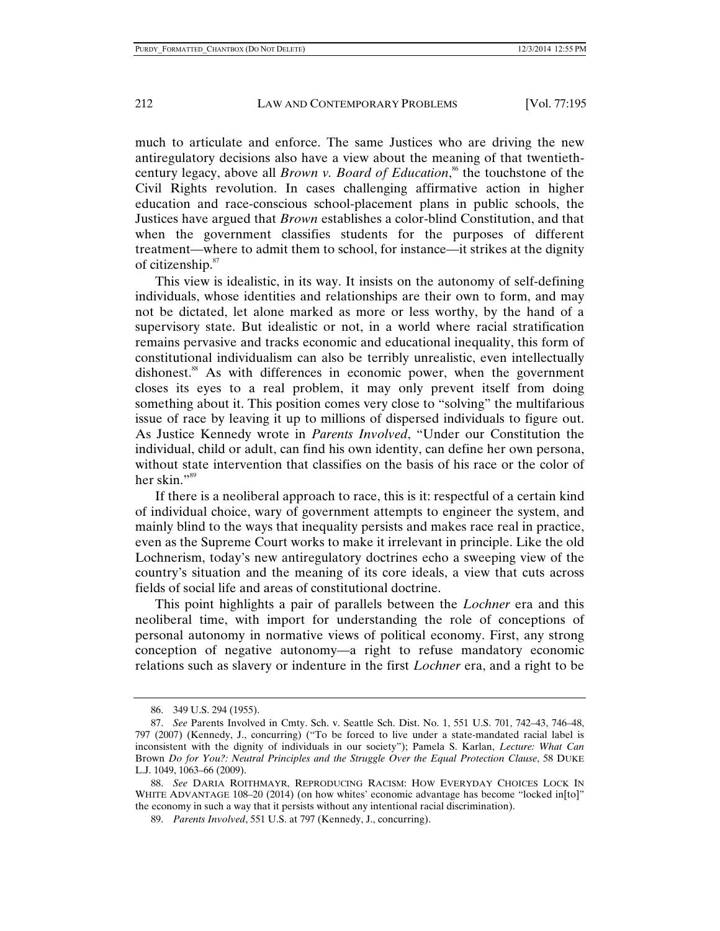much to articulate and enforce. The same Justices who are driving the new antiregulatory decisions also have a view about the meaning of that twentiethcentury legacy, above all *Brown v. Board of Education*, 86 the touchstone of the Civil Rights revolution. In cases challenging affirmative action in higher education and race-conscious school-placement plans in public schools, the Justices have argued that *Brown* establishes a color-blind Constitution, and that when the government classifies students for the purposes of different treatment—where to admit them to school, for instance—it strikes at the dignity of citizenship.<sup>87</sup>

This view is idealistic, in its way. It insists on the autonomy of self-defining individuals, whose identities and relationships are their own to form, and may not be dictated, let alone marked as more or less worthy, by the hand of a supervisory state. But idealistic or not, in a world where racial stratification remains pervasive and tracks economic and educational inequality, this form of constitutional individualism can also be terribly unrealistic, even intellectually dishonest.<sup>88</sup> As with differences in economic power, when the government closes its eyes to a real problem, it may only prevent itself from doing something about it. This position comes very close to "solving" the multifarious issue of race by leaving it up to millions of dispersed individuals to figure out. As Justice Kennedy wrote in *Parents Involved*, "Under our Constitution the individual, child or adult, can find his own identity, can define her own persona, without state intervention that classifies on the basis of his race or the color of her skin."<sup>89</sup>

If there is a neoliberal approach to race, this is it: respectful of a certain kind of individual choice, wary of government attempts to engineer the system, and mainly blind to the ways that inequality persists and makes race real in practice, even as the Supreme Court works to make it irrelevant in principle. Like the old Lochnerism, today's new antiregulatory doctrines echo a sweeping view of the country's situation and the meaning of its core ideals, a view that cuts across fields of social life and areas of constitutional doctrine.

This point highlights a pair of parallels between the *Lochner* era and this neoliberal time, with import for understanding the role of conceptions of personal autonomy in normative views of political economy. First, any strong conception of negative autonomy—a right to refuse mandatory economic relations such as slavery or indenture in the first *Lochner* era, and a right to be

 <sup>86. 349</sup> U.S. 294 (1955).

 <sup>87.</sup> *See* Parents Involved in Cmty. Sch. v. Seattle Sch. Dist. No. 1, 551 U.S. 701, 742–43, 746–48, 797 (2007) (Kennedy, J., concurring) ("To be forced to live under a state-mandated racial label is inconsistent with the dignity of individuals in our society"); Pamela S. Karlan, *Lecture: What Can*  Brown *Do for You?: Neutral Principles and the Struggle Over the Equal Protection Clause*, 58 DUKE L.J. 1049, 1063–66 (2009).

 <sup>88.</sup> *See* DARIA ROITHMAYR, REPRODUCING RACISM: HOW EVERYDAY CHOICES LOCK IN WHITE ADVANTAGE 108–20 (2014) (on how whites' economic advantage has become "locked in[to]" the economy in such a way that it persists without any intentional racial discrimination).

 <sup>89.</sup> *Parents Involved*, 551 U.S. at 797 (Kennedy, J., concurring).